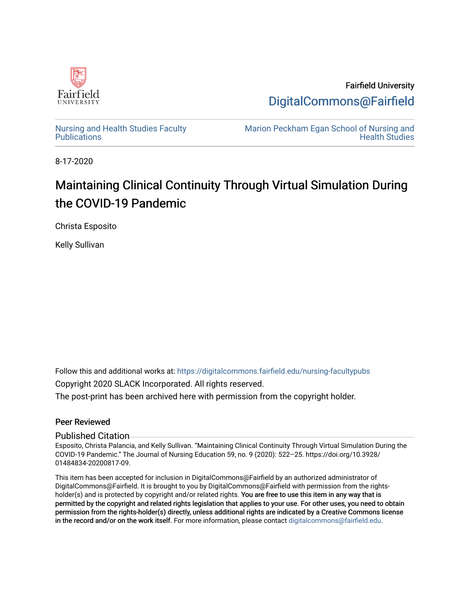

Fairfield University [DigitalCommons@Fairfield](https://digitalcommons.fairfield.edu/) 

[Nursing and Health Studies Faculty](https://digitalcommons.fairfield.edu/nursing-facultypubs) **Publications** 

[Marion Peckham Egan School of Nursing and](https://digitalcommons.fairfield.edu/schoolofnursing)  [Health Studies](https://digitalcommons.fairfield.edu/schoolofnursing) 

8-17-2020

# Maintaining Clinical Continuity Through Virtual Simulation During the COVID-19 Pandemic

Christa Esposito

Kelly Sullivan

Follow this and additional works at: [https://digitalcommons.fairfield.edu/nursing-facultypubs](https://digitalcommons.fairfield.edu/nursing-facultypubs?utm_source=digitalcommons.fairfield.edu%2Fnursing-facultypubs%2F238&utm_medium=PDF&utm_campaign=PDFCoverPages) 

Copyright 2020 SLACK Incorporated. All rights reserved.

The post-print has been archived here with permission from the copyright holder.

### Peer Reviewed

### Published Citation

Esposito, Christa Palancia, and Kelly Sullivan. "Maintaining Clinical Continuity Through Virtual Simulation During the COVID-19 Pandemic." The Journal of Nursing Education 59, no. 9 (2020): 522–25. https://doi.org/10.3928/ 01484834-20200817-09.

This item has been accepted for inclusion in DigitalCommons@Fairfield by an authorized administrator of DigitalCommons@Fairfield. It is brought to you by DigitalCommons@Fairfield with permission from the rightsholder(s) and is protected by copyright and/or related rights. You are free to use this item in any way that is permitted by the copyright and related rights legislation that applies to your use. For other uses, you need to obtain permission from the rights-holder(s) directly, unless additional rights are indicated by a Creative Commons license in the record and/or on the work itself. For more information, please contact [digitalcommons@fairfield.edu.](mailto:digitalcommons@fairfield.edu)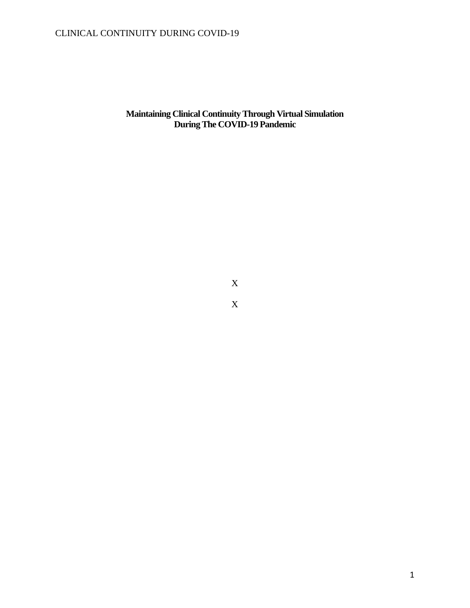**Maintaining Clinical Continuity Through Virtual Simulation During The COVID-19 Pandemic**

X

X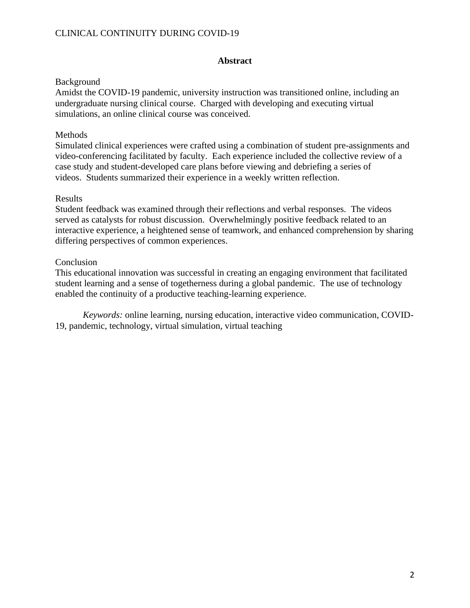### **Abstract**

### Background

Amidst the COVID-19 pandemic, university instruction was transitioned online, including an undergraduate nursing clinical course. Charged with developing and executing virtual simulations, an online clinical course was conceived.

### Methods

Simulated clinical experiences were crafted using a combination of student pre-assignments and video-conferencing facilitated by faculty. Each experience included the collective review of a case study and student-developed care plans before viewing and debriefing a series of videos. Students summarized their experience in a weekly written reflection.

### Results

Student feedback was examined through their reflections and verbal responses. The videos served as catalysts for robust discussion. Overwhelmingly positive feedback related to an interactive experience, a heightened sense of teamwork, and enhanced comprehension by sharing differing perspectives of common experiences.

### **Conclusion**

This educational innovation was successful in creating an engaging environment that facilitated student learning and a sense of togetherness during a global pandemic. The use of technology enabled the continuity of a productive teaching-learning experience.

*Keywords:* online learning, nursing education, interactive video communication, COVID-19, pandemic, technology, virtual simulation, virtual teaching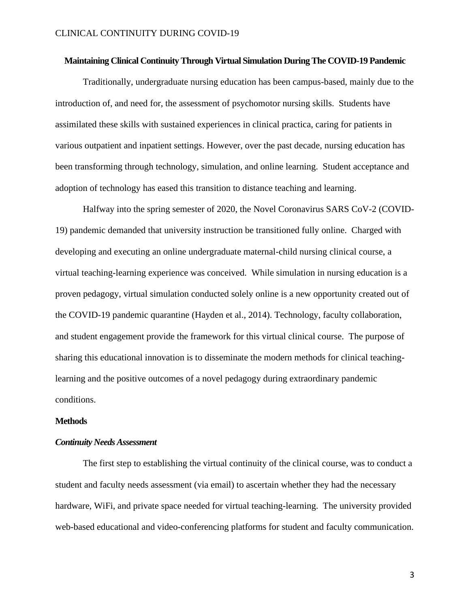#### **Maintaining Clinical Continuity Through Virtual Simulation During The COVID-19 Pandemic**

Traditionally, undergraduate nursing education has been campus-based, mainly due to the introduction of, and need for, the assessment of psychomotor nursing skills. Students have assimilated these skills with sustained experiences in clinical practica, caring for patients in various outpatient and inpatient settings. However, over the past decade, nursing education has been transforming through technology, simulation, and online learning. Student acceptance and adoption of technology has eased this transition to distance teaching and learning.

Halfway into the spring semester of 2020, the Novel Coronavirus SARS CoV-2 (COVID-19) pandemic demanded that university instruction be transitioned fully online. Charged with developing and executing an online undergraduate maternal-child nursing clinical course, a virtual teaching-learning experience was conceived. While simulation in nursing education is a proven pedagogy, virtual simulation conducted solely online is a new opportunity created out of the COVID-19 pandemic quarantine (Hayden et al., 2014). Technology, faculty collaboration, and student engagement provide the framework for this virtual clinical course. The purpose of sharing this educational innovation is to disseminate the modern methods for clinical teachinglearning and the positive outcomes of a novel pedagogy during extraordinary pandemic conditions.

### **Methods**

#### *Continuity Needs Assessment*

The first step to establishing the virtual continuity of the clinical course, was to conduct a student and faculty needs assessment (via email) to ascertain whether they had the necessary hardware, WiFi, and private space needed for virtual teaching-learning. The university provided web-based educational and video-conferencing platforms for student and faculty communication.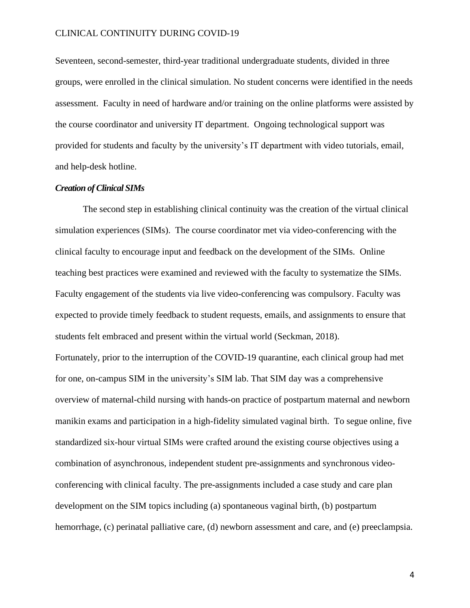Seventeen, second-semester, third-year traditional undergraduate students, divided in three groups, were enrolled in the clinical simulation. No student concerns were identified in the needs assessment. Faculty in need of hardware and/or training on the online platforms were assisted by the course coordinator and university IT department. Ongoing technological support was provided for students and faculty by the university's IT department with video tutorials, email, and help-desk hotline.

### *Creation of Clinical SIMs*

The second step in establishing clinical continuity was the creation of the virtual clinical simulation experiences (SIMs). The course coordinator met via video-conferencing with the clinical faculty to encourage input and feedback on the development of the SIMs. Online teaching best practices were examined and reviewed with the faculty to systematize the SIMs. Faculty engagement of the students via live video-conferencing was compulsory. Faculty was expected to provide timely feedback to student requests, emails, and assignments to ensure that students felt embraced and present within the virtual world (Seckman, 2018). Fortunately, prior to the interruption of the COVID-19 quarantine, each clinical group had met for one, on-campus SIM in the university's SIM lab. That SIM day was a comprehensive overview of maternal-child nursing with hands-on practice of postpartum maternal and newborn manikin exams and participation in a high-fidelity simulated vaginal birth. To segue online, five standardized six-hour virtual SIMs were crafted around the existing course objectives using a combination of asynchronous, independent student pre-assignments and synchronous videoconferencing with clinical faculty. The pre-assignments included a case study and care plan development on the SIM topics including (a) spontaneous vaginal birth, (b) postpartum hemorrhage, (c) perinatal palliative care, (d) newborn assessment and care, and (e) preeclampsia.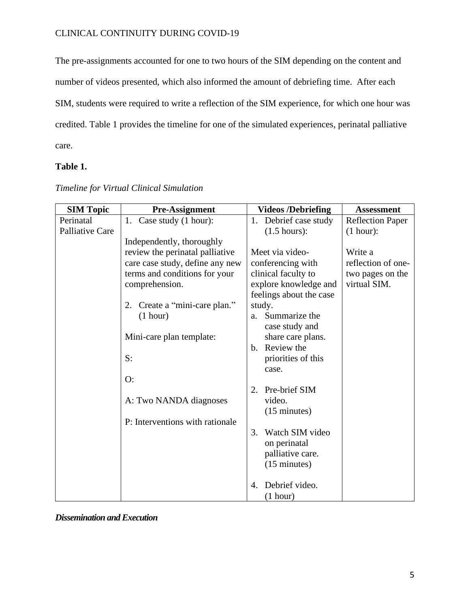The pre-assignments accounted for one to two hours of the SIM depending on the content and number of videos presented, which also informed the amount of debriefing time. After each SIM, students were required to write a reflection of the SIM experience, for which one hour was credited. Table 1 provides the timeline for one of the simulated experiences, perinatal palliative care.

### **Table 1.**

| <b>SIM Topic</b> | <b>Pre-Assignment</b>           | <b>Videos /Debriefing</b>    | <b>Assessment</b>       |
|------------------|---------------------------------|------------------------------|-------------------------|
| Perinatal        | 1. Case study (1 hour):         | 1. Debrief case study        | <b>Reflection Paper</b> |
| Palliative Care  |                                 | $(1.5 \text{ hours})$ :      | (1 hour):               |
|                  | Independently, thoroughly       |                              |                         |
|                  | review the perinatal palliative | Meet via video-              | Write a                 |
|                  | care case study, define any new | conferencing with            | reflection of one-      |
|                  | terms and conditions for your   | clinical faculty to          | two pages on the        |
|                  | comprehension.                  | explore knowledge and        | virtual SIM.            |
|                  |                                 | feelings about the case      |                         |
|                  | 2. Create a "mini-care plan."   | study.                       |                         |
|                  | (1 hour)                        | Summarize the<br>a.          |                         |
|                  |                                 | case study and               |                         |
|                  | Mini-care plan template:        | share care plans.            |                         |
|                  |                                 | Review the<br>$\mathbf{b}$ . |                         |
|                  | S:                              | priorities of this           |                         |
|                  |                                 | case.                        |                         |
|                  | O:                              |                              |                         |
|                  |                                 | Pre-brief SIM<br>2.          |                         |
|                  | A: Two NANDA diagnoses          | video.                       |                         |
|                  |                                 | $(15 \text{ minutes})$       |                         |
|                  | P: Interventions with rationale |                              |                         |
|                  |                                 | Watch SIM video<br>3.        |                         |
|                  |                                 | on perinatal                 |                         |
|                  |                                 | palliative care.             |                         |
|                  |                                 | $(15 \text{ minutes})$       |                         |
|                  |                                 |                              |                         |
|                  |                                 | Debrief video.<br>4.         |                         |
|                  |                                 | (1 hour)                     |                         |

*Timeline for Virtual Clinical Simulation*

*Dissemination and Execution*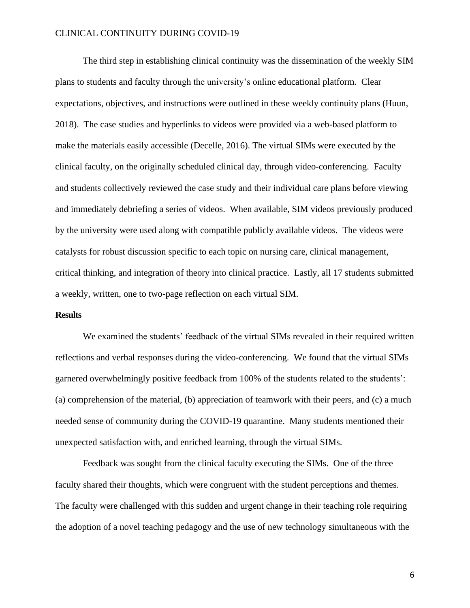The third step in establishing clinical continuity was the dissemination of the weekly SIM plans to students and faculty through the university's online educational platform. Clear expectations, objectives, and instructions were outlined in these weekly continuity plans (Huun, 2018). The case studies and hyperlinks to videos were provided via a web-based platform to make the materials easily accessible (Decelle, 2016). The virtual SIMs were executed by the clinical faculty, on the originally scheduled clinical day, through video-conferencing. Faculty and students collectively reviewed the case study and their individual care plans before viewing and immediately debriefing a series of videos. When available, SIM videos previously produced by the university were used along with compatible publicly available videos. The videos were catalysts for robust discussion specific to each topic on nursing care, clinical management, critical thinking, and integration of theory into clinical practice. Lastly, all 17 students submitted a weekly, written, one to two-page reflection on each virtual SIM.

### **Results**

We examined the students' feedback of the virtual SIMs revealed in their required written reflections and verbal responses during the video-conferencing. We found that the virtual SIMs garnered overwhelmingly positive feedback from 100% of the students related to the students': (a) comprehension of the material, (b) appreciation of teamwork with their peers, and (c) a much needed sense of community during the COVID-19 quarantine. Many students mentioned their unexpected satisfaction with, and enriched learning, through the virtual SIMs.

Feedback was sought from the clinical faculty executing the SIMs. One of the three faculty shared their thoughts, which were congruent with the student perceptions and themes. The faculty were challenged with this sudden and urgent change in their teaching role requiring the adoption of a novel teaching pedagogy and the use of new technology simultaneous with the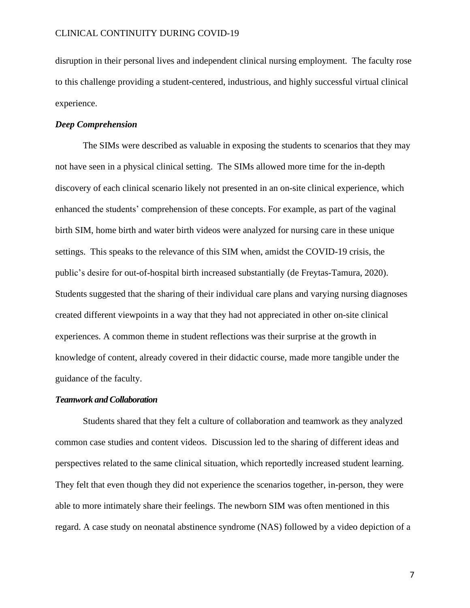disruption in their personal lives and independent clinical nursing employment. The faculty rose to this challenge providing a student-centered, industrious, and highly successful virtual clinical experience.

### *Deep Comprehension*

The SIMs were described as valuable in exposing the students to scenarios that they may not have seen in a physical clinical setting. The SIMs allowed more time for the in-depth discovery of each clinical scenario likely not presented in an on-site clinical experience, which enhanced the students' comprehension of these concepts. For example, as part of the vaginal birth SIM, home birth and water birth videos were analyzed for nursing care in these unique settings. This speaks to the relevance of this SIM when, amidst the COVID-19 crisis, the public's desire for out-of-hospital birth increased substantially (de Freytas-Tamura, 2020). Students suggested that the sharing of their individual care plans and varying nursing diagnoses created different viewpoints in a way that they had not appreciated in other on-site clinical experiences. A common theme in student reflections was their surprise at the growth in knowledge of content, already covered in their didactic course, made more tangible under the guidance of the faculty.

#### *Teamwork and Collaboration*

Students shared that they felt a culture of collaboration and teamwork as they analyzed common case studies and content videos. Discussion led to the sharing of different ideas and perspectives related to the same clinical situation, which reportedly increased student learning. They felt that even though they did not experience the scenarios together, in-person, they were able to more intimately share their feelings. The newborn SIM was often mentioned in this regard. A case study on neonatal abstinence syndrome (NAS) followed by a video depiction of a

7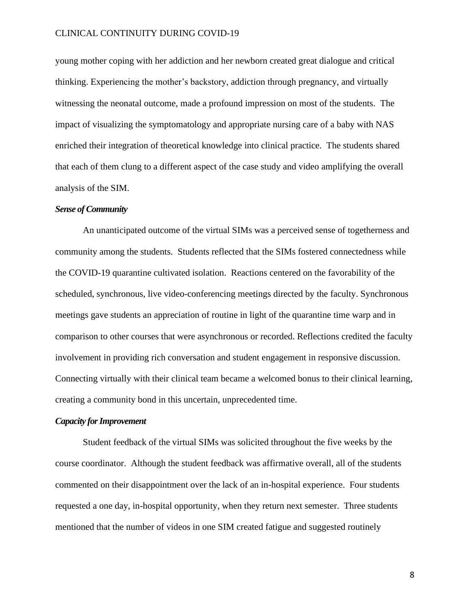young mother coping with her addiction and her newborn created great dialogue and critical thinking. Experiencing the mother's backstory, addiction through pregnancy, and virtually witnessing the neonatal outcome, made a profound impression on most of the students. The impact of visualizing the symptomatology and appropriate nursing care of a baby with NAS enriched their integration of theoretical knowledge into clinical practice. The students shared that each of them clung to a different aspect of the case study and video amplifying the overall analysis of the SIM.

### *Sense of Community*

An unanticipated outcome of the virtual SIMs was a perceived sense of togetherness and community among the students. Students reflected that the SIMs fostered connectedness while the COVID-19 quarantine cultivated isolation. Reactions centered on the favorability of the scheduled, synchronous, live video-conferencing meetings directed by the faculty. Synchronous meetings gave students an appreciation of routine in light of the quarantine time warp and in comparison to other courses that were asynchronous or recorded. Reflections credited the faculty involvement in providing rich conversation and student engagement in responsive discussion. Connecting virtually with their clinical team became a welcomed bonus to their clinical learning, creating a community bond in this uncertain, unprecedented time.

### *Capacity for Improvement*

Student feedback of the virtual SIMs was solicited throughout the five weeks by the course coordinator. Although the student feedback was affirmative overall, all of the students commented on their disappointment over the lack of an in-hospital experience. Four students requested a one day, in-hospital opportunity, when they return next semester. Three students mentioned that the number of videos in one SIM created fatigue and suggested routinely

8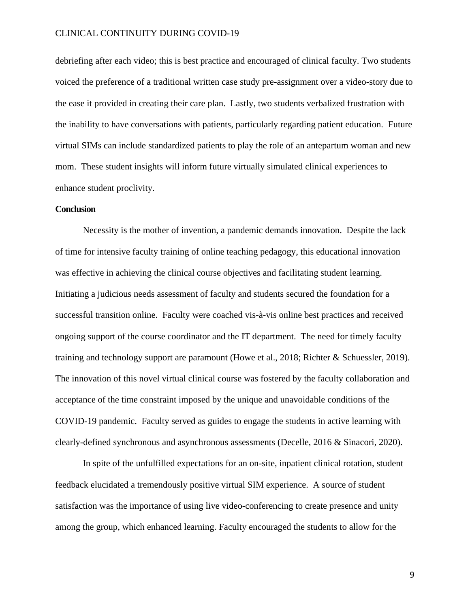debriefing after each video; this is best practice and encouraged of clinical faculty. Two students voiced the preference of a traditional written case study pre-assignment over a video-story due to the ease it provided in creating their care plan. Lastly, two students verbalized frustration with the inability to have conversations with patients, particularly regarding patient education. Future virtual SIMs can include standardized patients to play the role of an antepartum woman and new mom. These student insights will inform future virtually simulated clinical experiences to enhance student proclivity.

### **Conclusion**

Necessity is the mother of invention, a pandemic demands innovation. Despite the lack of time for intensive faculty training of online teaching pedagogy, this educational innovation was effective in achieving the clinical course objectives and facilitating student learning. Initiating a judicious needs assessment of faculty and students secured the foundation for a successful transition online. Faculty were coached vis-à-vis online best practices and received ongoing support of the course coordinator and the IT department. The need for timely faculty training and technology support are paramount (Howe et al., 2018; Richter & Schuessler, 2019). The innovation of this novel virtual clinical course was fostered by the faculty collaboration and acceptance of the time constraint imposed by the unique and unavoidable conditions of the COVID-19 pandemic. Faculty served as guides to engage the students in active learning with clearly-defined synchronous and asynchronous assessments (Decelle, 2016 & Sinacori, 2020).

In spite of the unfulfilled expectations for an on-site, inpatient clinical rotation, student feedback elucidated a tremendously positive virtual SIM experience. A source of student satisfaction was the importance of using live video-conferencing to create presence and unity among the group, which enhanced learning. Faculty encouraged the students to allow for the

9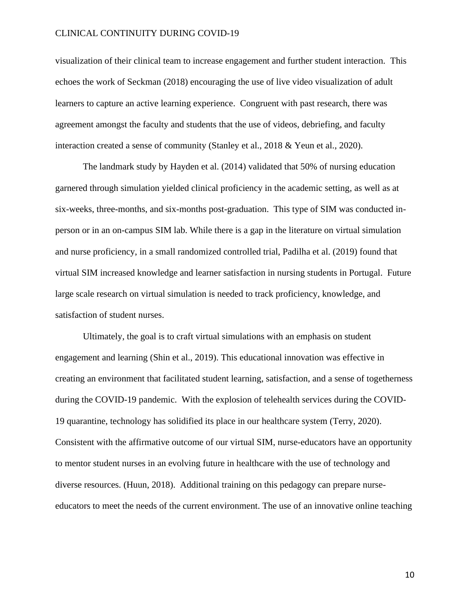visualization of their clinical team to increase engagement and further student interaction. This echoes the work of Seckman (2018) encouraging the use of live video visualization of adult learners to capture an active learning experience. Congruent with past research, there was agreement amongst the faculty and students that the use of videos, debriefing, and faculty interaction created a sense of community (Stanley et al., 2018 & Yeun et al., 2020).

The landmark study by Hayden et al. (2014) validated that 50% of nursing education garnered through simulation yielded clinical proficiency in the academic setting, as well as at six-weeks, three-months, and six-months post-graduation. This type of SIM was conducted inperson or in an on-campus SIM lab. While there is a gap in the literature on virtual simulation and nurse proficiency, in a small randomized controlled trial, Padilha et al. (2019) found that virtual SIM increased knowledge and learner satisfaction in nursing students in Portugal. Future large scale research on virtual simulation is needed to track proficiency, knowledge, and satisfaction of student nurses.

Ultimately, the goal is to craft virtual simulations with an emphasis on student engagement and learning (Shin et al., 2019). This educational innovation was effective in creating an environment that facilitated student learning, satisfaction, and a sense of togetherness during the COVID-19 pandemic. With the explosion of telehealth services during the COVID-19 quarantine, technology has solidified its place in our healthcare system (Terry, 2020). Consistent with the affirmative outcome of our virtual SIM, nurse-educators have an opportunity to mentor student nurses in an evolving future in healthcare with the use of technology and diverse resources. (Huun, 2018). Additional training on this pedagogy can prepare nurseeducators to meet the needs of the current environment. The use of an innovative online teaching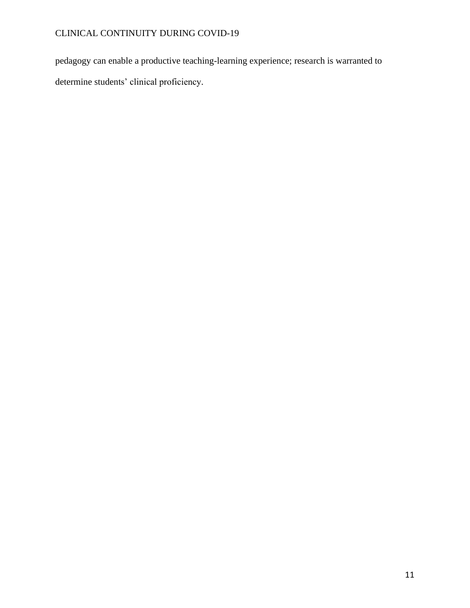pedagogy can enable a productive teaching-learning experience; research is warranted to determine students' clinical proficiency.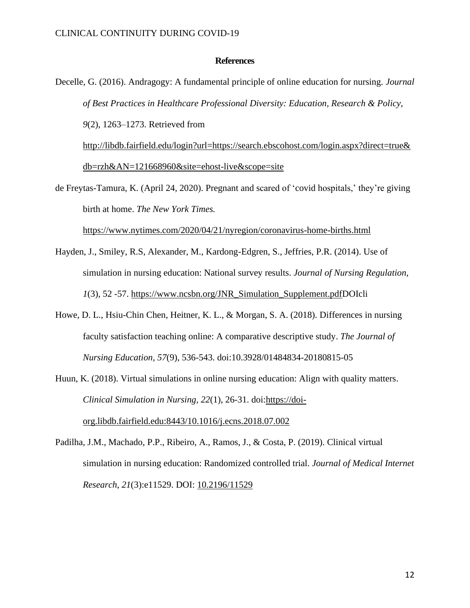### **References**

Decelle, G. (2016). Andragogy: A fundamental principle of online education for nursing. *Journal of Best Practices in Healthcare Professional Diversity: Education, Research & Policy, 9*(2), 1263–1273. Retrieved from [http://libdb.fairfield.edu/login?url=https://search.ebscohost.com/login.aspx?direct=true&](http://libdb.fairfield.edu/login?url=https://search.ebscohost.com/login.aspx?direct=true&db=rzh&AN=121668960&site=ehost-live&scope=site) [db=rzh&AN=121668960&site=ehost-live&scope=site](http://libdb.fairfield.edu/login?url=https://search.ebscohost.com/login.aspx?direct=true&db=rzh&AN=121668960&site=ehost-live&scope=site) de Freytas-Tamura, K. (April 24, 2020). Pregnant and scared of 'covid hospitals,' they're giving

birth at home. *The New York Times.*

<https://www.nytimes.com/2020/04/21/nyregion/coronavirus-home-births.html>

- Hayden, J., Smiley, R.S, Alexander, M., Kardong-Edgren, S., Jeffries, P.R. (2014). Use of simulation in nursing education: National survey results. *Journal of Nursing Regulation, 1*(3), 52 -57. [https://www.ncsbn.org/JNR\\_Simulation\\_Supplement.pdfD](https://www.ncsbn.org/JNR_Simulation_Supplement.pdf)OIcli
- Howe, D. L., Hsiu-Chin Chen, Heitner, K. L., & Morgan, S. A. (2018). Differences in nursing faculty satisfaction teaching online: A comparative descriptive study. *The Journal of Nursing Education, 57*(9), 536-543. doi:10.3928/01484834-20180815-05
- Huun, K. (2018). Virtual simulations in online nursing education: Align with quality matters. *Clinical Simulation in Nursing, 22*(1), 26-31. doi[:https://doi](https://doi-org.libdb.fairfield.edu:8443/10.1016/j.ecns.2018.07.002)[org.libdb.fairfield.edu:8443/10.1016/j.ecns.2018.07.002](https://doi-org.libdb.fairfield.edu:8443/10.1016/j.ecns.2018.07.002)
- Padilha, J.M., Machado, P.P., Ribeiro, A., Ramos, J., & Costa, P. (2019). Clinical virtual simulation in nursing education: Randomized controlled trial. *Journal of Medical Internet Research*, *21*(3):e11529. DOI: [10.2196/11529](https://doi.org/10.2196/11529)